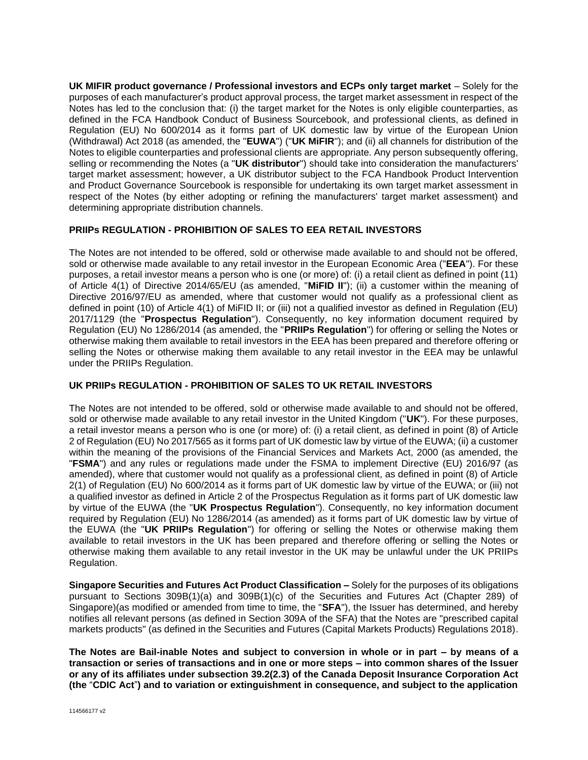**UK MIFIR product governance / Professional investors and ECPs only target market** – Solely for the purposes of each manufacturer's product approval process, the target market assessment in respect of the Notes has led to the conclusion that: (i) the target market for the Notes is only eligible counterparties, as defined in the FCA Handbook Conduct of Business Sourcebook, and professional clients, as defined in Regulation (EU) No 600/2014 as it forms part of UK domestic law by virtue of the European Union (Withdrawal) Act 2018 (as amended, the "**EUWA**") ("**UK MiFIR**"); and (ii) all channels for distribution of the Notes to eligible counterparties and professional clients are appropriate. Any person subsequently offering, selling or recommending the Notes (a "**UK distributor**") should take into consideration the manufacturers' target market assessment; however, a UK distributor subject to the FCA Handbook Product Intervention and Product Governance Sourcebook is responsible for undertaking its own target market assessment in respect of the Notes (by either adopting or refining the manufacturers' target market assessment) and determining appropriate distribution channels.

## **PRIIPs REGULATION - PROHIBITION OF SALES TO EEA RETAIL INVESTORS**

The Notes are not intended to be offered, sold or otherwise made available to and should not be offered, sold or otherwise made available to any retail investor in the European Economic Area ("**EEA**"). For these purposes, a retail investor means a person who is one (or more) of: (i) a retail client as defined in point (11) of Article 4(1) of Directive 2014/65/EU (as amended, "**MiFID II**"); (ii) a customer within the meaning of Directive 2016/97/EU as amended, where that customer would not qualify as a professional client as defined in point (10) of Article 4(1) of MiFID II; or (iii) not a qualified investor as defined in Regulation (EU) 2017/1129 (the "**Prospectus Regulation**"). Consequently, no key information document required by Regulation (EU) No 1286/2014 (as amended, the "**PRIIPs Regulation**") for offering or selling the Notes or otherwise making them available to retail investors in the EEA has been prepared and therefore offering or selling the Notes or otherwise making them available to any retail investor in the EEA may be unlawful under the PRIIPs Regulation.

# **UK PRIIPs REGULATION - PROHIBITION OF SALES TO UK RETAIL INVESTORS**

The Notes are not intended to be offered, sold or otherwise made available to and should not be offered, sold or otherwise made available to any retail investor in the United Kingdom ("**UK**"). For these purposes, a retail investor means a person who is one (or more) of: (i) a retail client, as defined in point (8) of Article 2 of Regulation (EU) No 2017/565 as it forms part of UK domestic law by virtue of the EUWA; (ii) a customer within the meaning of the provisions of the Financial Services and Markets Act, 2000 (as amended, the "**FSMA**") and any rules or regulations made under the FSMA to implement Directive (EU) 2016/97 (as amended), where that customer would not qualify as a professional client, as defined in point (8) of Article 2(1) of Regulation (EU) No 600/2014 as it forms part of UK domestic law by virtue of the EUWA; or (iii) not a qualified investor as defined in Article 2 of the Prospectus Regulation as it forms part of UK domestic law by virtue of the EUWA (the "**UK Prospectus Regulation**"). Consequently, no key information document required by Regulation (EU) No 1286/2014 (as amended) as it forms part of UK domestic law by virtue of the EUWA (the "**UK PRIIPs Regulation**") for offering or selling the Notes or otherwise making them available to retail investors in the UK has been prepared and therefore offering or selling the Notes or otherwise making them available to any retail investor in the UK may be unlawful under the UK PRIIPs Regulation.

**Singapore Securities and Futures Act Product Classification –** Solely for the purposes of its obligations pursuant to Sections 309B(1)(a) and 309B(1)(c) of the Securities and Futures Act (Chapter 289) of Singapore)(as modified or amended from time to time, the "**SFA**"), the Issuer has determined, and hereby notifies all relevant persons (as defined in Section 309A of the SFA) that the Notes are "prescribed capital markets products" (as defined in the Securities and Futures (Capital Markets Products) Regulations 2018).

**The Notes are Bail-inable Notes and subject to conversion in whole or in part – by means of a transaction or series of transactions and in one or more steps – into common shares of the Issuer or any of its affiliates under subsection 39.2(2.3) of the Canada Deposit Insurance Corporation Act (the** "**CDIC Act**"**) and to variation or extinguishment in consequence, and subject to the application**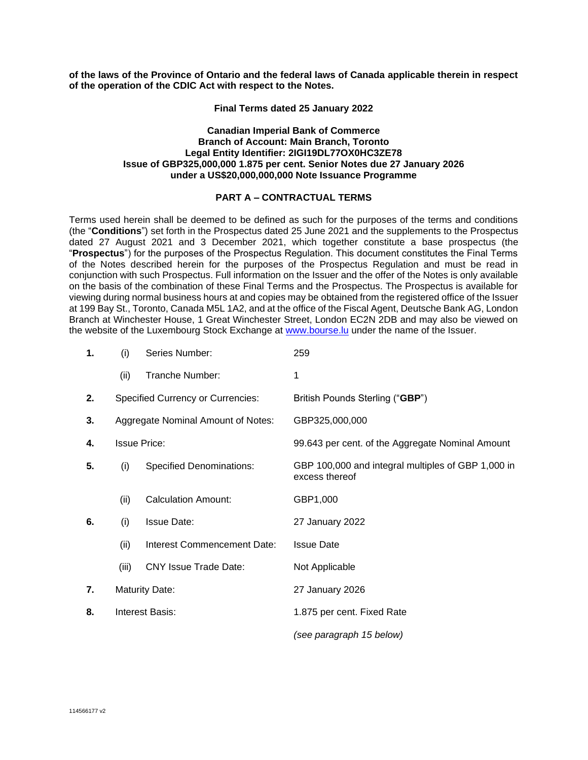**of the laws of the Province of Ontario and the federal laws of Canada applicable therein in respect of the operation of the CDIC Act with respect to the Notes.**

**Final Terms dated 25 January 2022**

#### **Canadian Imperial Bank of Commerce Branch of Account: Main Branch, Toronto Legal Entity Identifier: 2IGI19DL77OX0HC3ZE78 Issue of GBP325,000,000 1.875 per cent. Senior Notes due 27 January 2026 under a US\$20,000,000,000 Note Issuance Programme**

## **PART A – CONTRACTUAL TERMS**

Terms used herein shall be deemed to be defined as such for the purposes of the terms and conditions (the "**Conditions**") set forth in the Prospectus dated 25 June 2021 and the supplements to the Prospectus dated 27 August 2021 and 3 December 2021, which together constitute a base prospectus (the "**Prospectus**") for the purposes of the Prospectus Regulation. This document constitutes the Final Terms of the Notes described herein for the purposes of the Prospectus Regulation and must be read in conjunction with such Prospectus. Full information on the Issuer and the offer of the Notes is only available on the basis of the combination of these Final Terms and the Prospectus. The Prospectus is available for viewing during normal business hours at and copies may be obtained from the registered office of the Issuer at 199 Bay St., Toronto, Canada M5L 1A2, and at the office of the Fiscal Agent, Deutsche Bank AG, London Branch at Winchester House, 1 Great Winchester Street, London EC2N 2DB and may also be viewed on the website of the Luxembourg Stock Exchange at [www.bourse.lu](http://www.bourse.lu/) under the name of the Issuer.

| 1. | (i)                    | Series Number:                           | 259                                                                  |  |
|----|------------------------|------------------------------------------|----------------------------------------------------------------------|--|
|    | (ii)                   | Tranche Number:                          | 1                                                                    |  |
| 2. |                        | <b>Specified Currency or Currencies:</b> | British Pounds Sterling ("GBP")                                      |  |
| 3. |                        | Aggregate Nominal Amount of Notes:       | GBP325,000,000                                                       |  |
| 4. | <b>Issue Price:</b>    |                                          | 99.643 per cent. of the Aggregate Nominal Amount                     |  |
| 5. | (i)                    | <b>Specified Denominations:</b>          | GBP 100,000 and integral multiples of GBP 1,000 in<br>excess thereof |  |
|    | (ii)                   | <b>Calculation Amount:</b>               | GBP1,000                                                             |  |
| 6. | (i)                    | <b>Issue Date:</b>                       | 27 January 2022                                                      |  |
|    | (ii)                   | Interest Commencement Date:              | <b>Issue Date</b>                                                    |  |
|    | (iii)                  | <b>CNY Issue Trade Date:</b>             | Not Applicable                                                       |  |
| 7. |                        | <b>Maturity Date:</b>                    | 27 January 2026                                                      |  |
| 8. | <b>Interest Basis:</b> |                                          | 1.875 per cent. Fixed Rate                                           |  |
|    |                        |                                          | (see paragraph 15 below)                                             |  |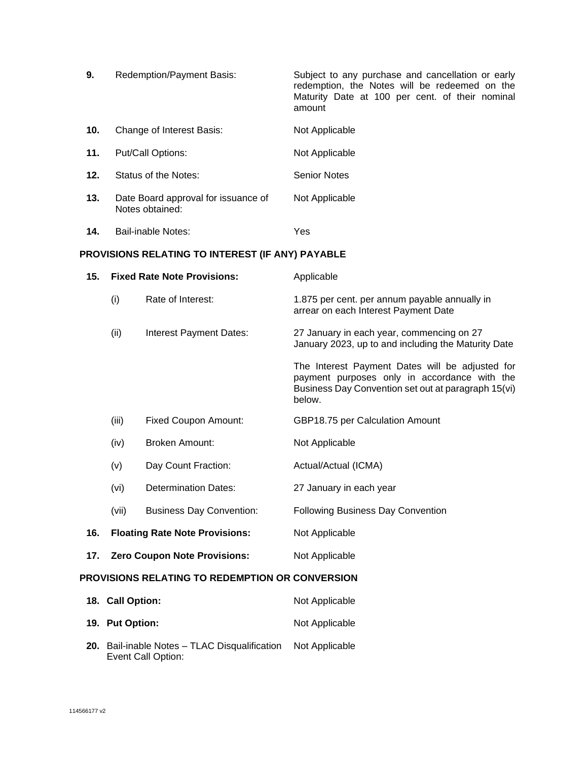| 9.  | Redemption/Payment Basis:                              | Subject to any purchase and cancellation or early<br>redemption, the Notes will be redeemed on the<br>Maturity Date at 100 per cent. of their nominal<br>amount |
|-----|--------------------------------------------------------|-----------------------------------------------------------------------------------------------------------------------------------------------------------------|
| 10. | Change of Interest Basis:                              | Not Applicable                                                                                                                                                  |
| 11. | Put/Call Options:                                      | Not Applicable                                                                                                                                                  |
| 12. | Status of the Notes:                                   | <b>Senior Notes</b>                                                                                                                                             |
| 13. | Date Board approval for issuance of<br>Notes obtained: | Not Applicable                                                                                                                                                  |
| 14. | Bail-inable Notes:                                     | Yes                                                                                                                                                             |

# **PROVISIONS RELATING TO INTEREST (IF ANY) PAYABLE**

| 15.                                             | <b>Fixed Rate Note Provisions:</b>                          |                                     | Applicable                                                                                                                                                       |  |
|-------------------------------------------------|-------------------------------------------------------------|-------------------------------------|------------------------------------------------------------------------------------------------------------------------------------------------------------------|--|
|                                                 | (i)<br>Rate of Interest:<br>(ii)<br>Interest Payment Dates: |                                     | 1.875 per cent. per annum payable annually in<br>arrear on each Interest Payment Date                                                                            |  |
|                                                 |                                                             |                                     | 27 January in each year, commencing on 27<br>January 2023, up to and including the Maturity Date                                                                 |  |
|                                                 |                                                             |                                     | The Interest Payment Dates will be adjusted for<br>payment purposes only in accordance with the<br>Business Day Convention set out at paragraph 15(vi)<br>below. |  |
|                                                 | (iii)                                                       | <b>Fixed Coupon Amount:</b>         | GBP18.75 per Calculation Amount                                                                                                                                  |  |
|                                                 | (iv)                                                        | <b>Broken Amount:</b>               | Not Applicable                                                                                                                                                   |  |
|                                                 | (v)                                                         | Day Count Fraction:                 | Actual/Actual (ICMA)                                                                                                                                             |  |
|                                                 | (vi)                                                        | <b>Determination Dates:</b>         | 27 January in each year                                                                                                                                          |  |
|                                                 | (vii)                                                       | <b>Business Day Convention:</b>     | <b>Following Business Day Convention</b>                                                                                                                         |  |
| 16.                                             | <b>Floating Rate Note Provisions:</b>                       |                                     | Not Applicable                                                                                                                                                   |  |
| 17.                                             |                                                             | <b>Zero Coupon Note Provisions:</b> | Not Applicable                                                                                                                                                   |  |
| PROVISIONS RELATING TO REDEMPTION OR CONVERSION |                                                             |                                     |                                                                                                                                                                  |  |
|                                                 | 18. Call Option:                                            |                                     | Not Applicable                                                                                                                                                   |  |

|                                                                                    | .              |
|------------------------------------------------------------------------------------|----------------|
| 19. Put Option:                                                                    | Not Applicable |
| 20. Bail-inable Notes - TLAC Disqualification Not Applicable<br>Event Call Option: |                |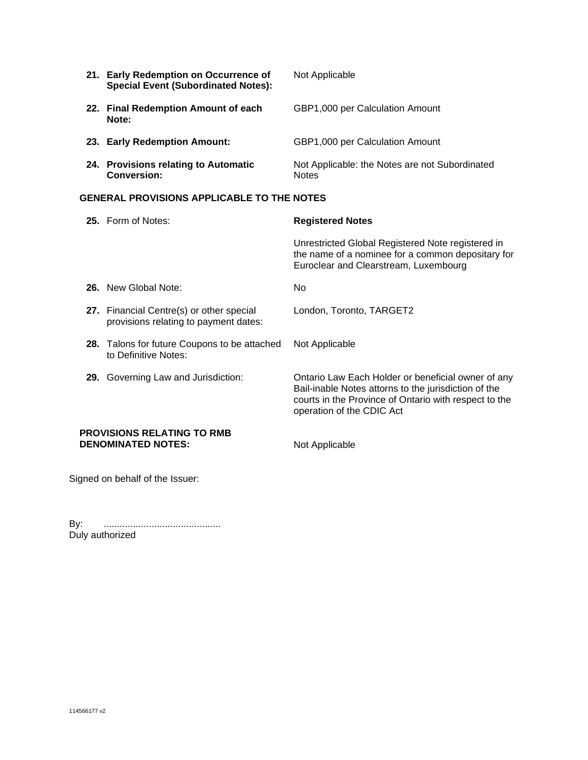|                                                   | 21. Early Redemption on Occurrence of<br><b>Special Event (Subordinated Notes):</b> | Not Applicable                                                                                                                                  |  |
|---------------------------------------------------|-------------------------------------------------------------------------------------|-------------------------------------------------------------------------------------------------------------------------------------------------|--|
|                                                   | 22. Final Redemption Amount of each<br>Note:                                        | GBP1,000 per Calculation Amount                                                                                                                 |  |
|                                                   | 23. Early Redemption Amount:                                                        | GBP1,000 per Calculation Amount                                                                                                                 |  |
|                                                   | 24. Provisions relating to Automatic<br><b>Conversion:</b>                          | Not Applicable: the Notes are not Subordinated<br><b>Notes</b>                                                                                  |  |
| <b>GENERAL PROVISIONS APPLICABLE TO THE NOTES</b> |                                                                                     |                                                                                                                                                 |  |
|                                                   |                                                                                     |                                                                                                                                                 |  |
|                                                   | 25. Form of Notes:                                                                  | <b>Registered Notes</b>                                                                                                                         |  |
|                                                   |                                                                                     | Unrestricted Global Registered Note registered in<br>the name of a nominee for a common depositary for<br>Euroclear and Clearstream, Luxembourg |  |
|                                                   | 26. New Global Note:                                                                | No.                                                                                                                                             |  |
|                                                   | 27. Financial Centre(s) or other special<br>provisions relating to payment dates:   | London, Toronto, TARGET2                                                                                                                        |  |

- **28.** Talons for future Coupons to be attached Not Applicable to Definitive Notes:
- **29.** Governing Law and Jurisdiction: Ontario Law Each Holder or beneficial owner of any

**PROVISIONS RELATING TO RMB DENOMINATED NOTES:** Not Applicable

operation of the CDIC Act

Bail-inable Notes attorns to the jurisdiction of the courts in the Province of Ontario with respect to the

Signed on behalf of the Issuer:

By: ............................................ Duly authorized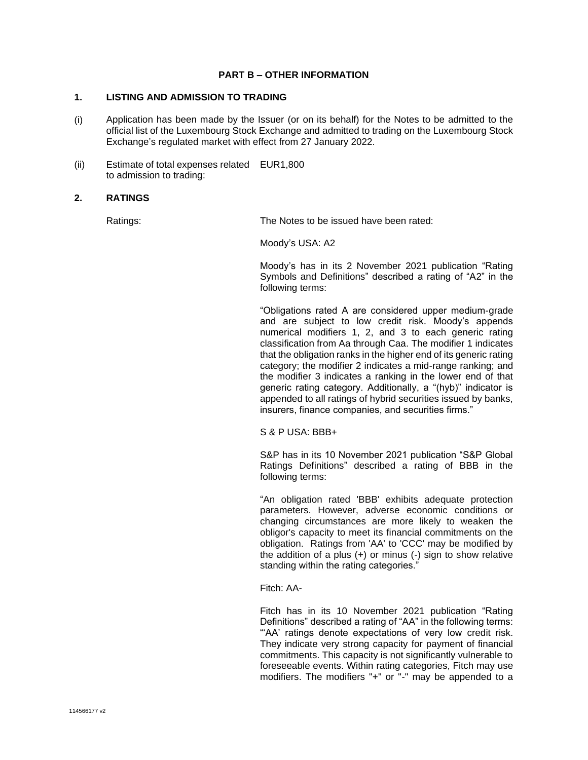## **PART B – OTHER INFORMATION**

## **1. LISTING AND ADMISSION TO TRADING**

- (i) Application has been made by the Issuer (or on its behalf) for the Notes to be admitted to the official list of the Luxembourg Stock Exchange and admitted to trading on the Luxembourg Stock Exchange's regulated market with effect from 27 January 2022.
- (ii) Estimate of total expenses related EUR1,800 to admission to trading:

### **2. RATINGS**

Ratings: The Notes to be issued have been rated:

Moody's USA: A2

Moody's has in its 2 November 2021 publication "Rating Symbols and Definitions" described a rating of "A2" in the following terms:

"Obligations rated A are considered upper medium-grade and are subject to low credit risk. Moody's appends numerical modifiers 1, 2, and 3 to each generic rating classification from Aa through Caa. The modifier 1 indicates that the obligation ranks in the higher end of its generic rating category; the modifier 2 indicates a mid-range ranking; and the modifier 3 indicates a ranking in the lower end of that generic rating category. Additionally, a "(hyb)" indicator is appended to all ratings of hybrid securities issued by banks, insurers, finance companies, and securities firms."

S & P USA: BBB+

S&P has in its 10 November 2021 publication "S&P Global Ratings Definitions" described a rating of BBB in the following terms:

"An obligation rated 'BBB' exhibits adequate protection parameters. However, adverse economic conditions or changing circumstances are more likely to weaken the obligor's capacity to meet its financial commitments on the obligation. Ratings from 'AA' to 'CCC' may be modified by the addition of a plus  $(+)$  or minus  $(-)$  sign to show relative standing within the rating categories."

Fitch: AA-

Fitch has in its 10 November 2021 publication "Rating Definitions" described a rating of "AA" in the following terms: "'AA' ratings denote expectations of very low credit risk. They indicate very strong capacity for payment of financial commitments. This capacity is not significantly vulnerable to foreseeable events. Within rating categories, Fitch may use modifiers. The modifiers "+" or "-" may be appended to a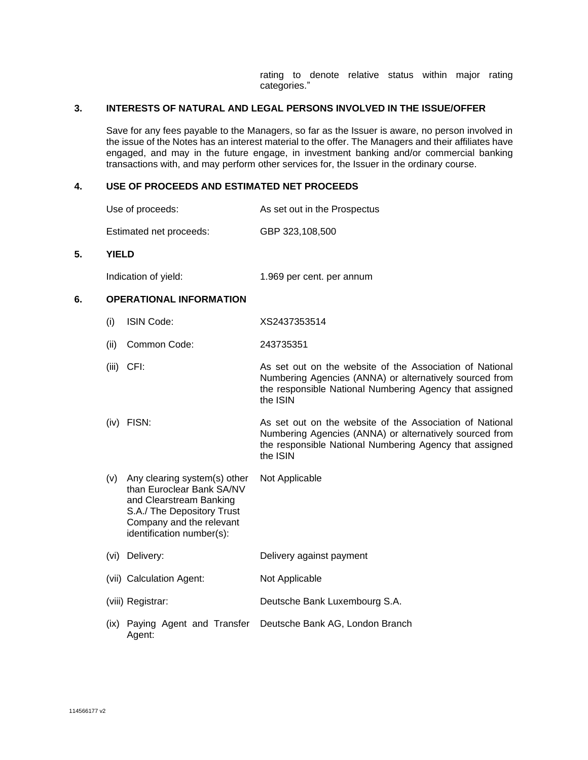rating to denote relative status within major rating categories."

#### **3. INTERESTS OF NATURAL AND LEGAL PERSONS INVOLVED IN THE ISSUE/OFFER**

Save for any fees payable to the Managers, so far as the Issuer is aware, no person involved in the issue of the Notes has an interest material to the offer. The Managers and their affiliates have engaged, and may in the future engage, in investment banking and/or commercial banking transactions with, and may perform other services for, the Issuer in the ordinary course.

## **4. USE OF PROCEEDS AND ESTIMATED NET PROCEEDS**

| Use of proceeds: | As set out in the Prospectus |
|------------------|------------------------------|
|------------------|------------------------------|

Estimated net proceeds: GBP 323,108,500

#### **5. YIELD**

| Indication of yield: | 1.969 per cent. per annum |
|----------------------|---------------------------|
|----------------------|---------------------------|

#### **6. OPERATIONAL INFORMATION**

- (i) ISIN Code: XS2437353514
- (ii) Common Code: 243735351
- (iii) CFI: As set out on the website of the Association of National Numbering Agencies (ANNA) or alternatively sourced from the responsible National Numbering Agency that assigned the ISIN
- (iv) FISN: As set out on the website of the Association of National Numbering Agencies (ANNA) or alternatively sourced from the responsible National Numbering Agency that assigned the ISIN
- (v) Any clearing system(s) other than Euroclear Bank SA/NV and Clearstream Banking S.A./ The Depository Trust Company and the relevant identification number(s): Not Applicable (vi) Delivery: Delivery against payment (vii) Calculation Agent: Not Applicable
- (viii) Registrar: Deutsche Bank Luxembourg S.A.
- (ix) Paying Agent and Transfer Deutsche Bank AG, London BranchAgent: